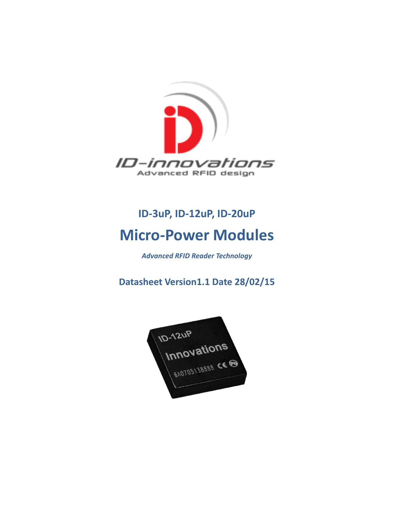

# **ID-3uP, ID-12uP, ID-20uP Micro-Power Modules**

### *Advanced RFID Reader Technology*

**Datasheet Version1.1 Date 28/02/15**

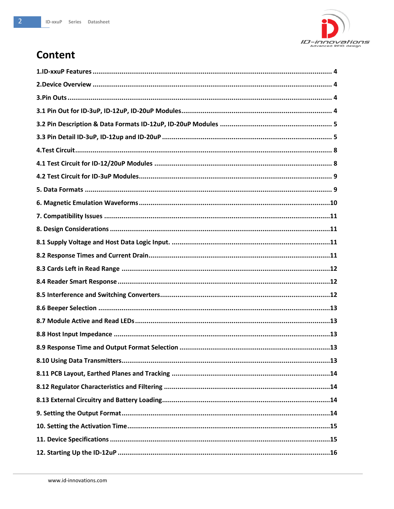

# **Content**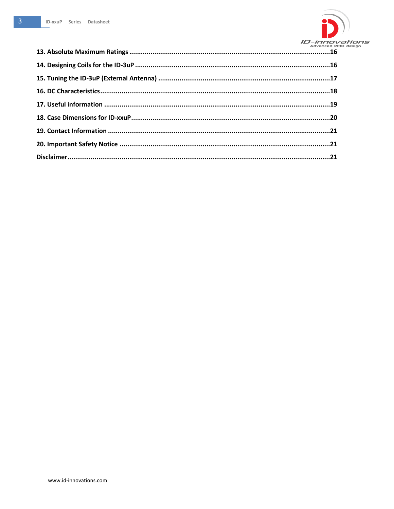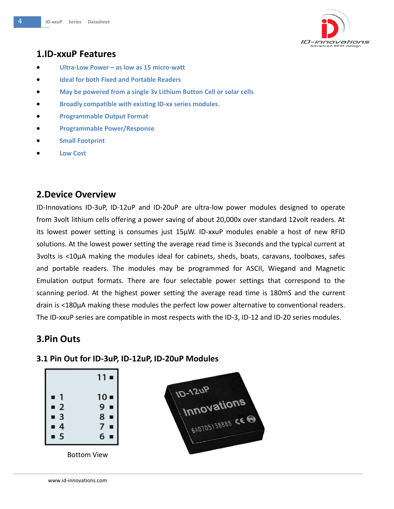

# <span id="page-3-0"></span>**1.ID-xxuP Features**

- **Ultra-Low Power – as low as 15 micro-watt**
- **Ideal for both Fixed and Portable Readers**
- **May be powered from a single 3v Lithium Button Cell or solar cells**
- **Broadly compatible with existing ID-xx series modules.**
- **Programmable Output Format**
- **Programmable Power/Response**
- **Small Footprint**
- <span id="page-3-1"></span>**Low Cost**

### **2.Device Overview**

ID-Innovations ID-3uP, ID-12uP and ID-20uP are ultra-low power modules designed to operate from 3volt lithium cells offering a power saving of about 20,000x over standard 12volt readers. At its lowest power setting is consumes just 15µW. ID-xxuP modules enable a host of new RFID solutions. At the lowest power setting the average read time is 3seconds and the typical current at 3volts is <10µA making the modules ideal for cabinets, sheds, boats, caravans, toolboxes, safes and portable readers. The modules may be programmed for ASCII, Wiegand and Magnetic Emulation output formats. There are four selectable power settings that correspond to the scanning period. At the highest power setting the average read time is 180mS and the current drain is <180µA making these modules the perfect low power alternative to conventional readers. The ID-xxuP series are compatible in most respects with the ID-3, ID-12 and ID-20 series modules.

### <span id="page-3-2"></span>**3.Pin Outs**

#### <span id="page-3-3"></span>**3.1 Pin Out for ID-3uP, ID-12uP, ID-20uP Modules**



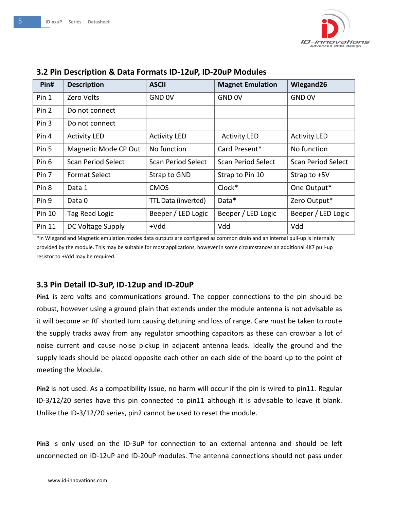

| Pin#          | <b>Description</b>        | <b>ASCII</b>              | <b>Magnet Emulation</b>   | Wiegand26                 |
|---------------|---------------------------|---------------------------|---------------------------|---------------------------|
| Pin 1         | Zero Volts                | GND 0V                    | GND 0V                    | GND 0V                    |
| Pin 2         | Do not connect            |                           |                           |                           |
| Pin 3         | Do not connect            |                           |                           |                           |
| Pin 4         | <b>Activity LED</b>       | <b>Activity LED</b>       | <b>Activity LED</b>       | <b>Activity LED</b>       |
| Pin 5         | Magnetic Mode CP Out      | No function               | Card Present*             | No function               |
| Pin 6         | <b>Scan Period Select</b> | <b>Scan Period Select</b> | <b>Scan Period Select</b> | <b>Scan Period Select</b> |
| Pin 7         | <b>Format Select</b>      | Strap to GND              | Strap to Pin 10           | Strap to $+5V$            |
| Pin 8         | Data 1                    | <b>CMOS</b>               | Clock*                    | One Output*               |
| Pin 9         | Data 0                    | TTL Data (inverted)       | Data*                     | Zero Output*              |
| Pin 10        | Tag Read Logic            | Beeper / LED Logic        | Beeper / LED Logic        | Beeper / LED Logic        |
| <b>Pin 11</b> | DC Voltage Supply         | $+Vdd$                    | Vdd                       | Vdd                       |

#### <span id="page-4-0"></span>**3.2 Pin Description & Data Formats ID-12uP, ID-20uP Modules**

\*In Wiegand and Magnetic emulation modes data outputs are configured as common drain and an internal pull-up is internally provided by the module. This may be suitable for most applications, however in some circumstances an additional 4K7 pull-up resistor to +Vdd may be required.

#### <span id="page-4-1"></span>**3.3 Pin Detail ID-3uP, ID-12up and ID-20uP**

**Pin1** is zero volts and communications ground. The copper connections to the pin should be robust, however using a ground plain that extends under the module antenna is not advisable as it will become an RF shorted turn causing detuning and loss of range. Care must be taken to route the supply tracks away from any regulator smoothing capacitors as these can crowbar a lot of noise current and cause noise pickup in adjacent antenna leads. Ideally the ground and the supply leads should be placed opposite each other on each side of the board up to the point of meeting the Module.

**Pin2** is not used. As a compatibility issue, no harm will occur if the pin is wired to pin11. Regular ID-3/12/20 series have this pin connected to pin11 although it is advisable to leave it blank. Unlike the ID-3/12/20 series, pin2 cannot be used to reset the module.

**Pin3** is only used on the ID-3uP for connection to an external antenna and should be left unconnected on ID-12uP and ID-20uP modules. The antenna connections should not pass under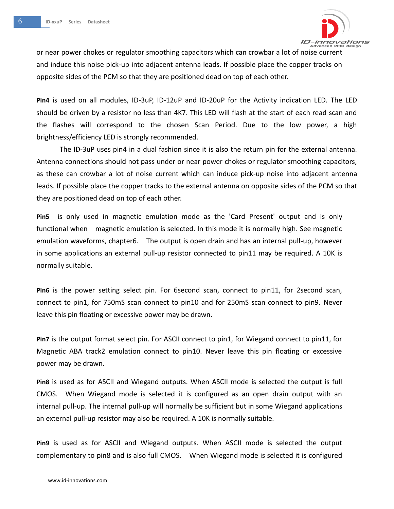

or near power chokes or regulator smoothing capacitors which can crowbar a lot of noise current and induce this noise pick-up into adjacent antenna leads. If possible place the copper tracks on opposite sides of the PCM so that they are positioned dead on top of each other.

**Pin4** is used on all modules, ID-3uP, ID-12uP and ID-20uP for the Activity indication LED. The LED should be driven by a resistor no less than 4K7. This LED will flash at the start of each read scan and the flashes will correspond to the chosen Scan Period. Due to the low power, a high brightness/efficiency LED is strongly recommended.

The ID-3uP uses pin4 in a dual fashion since it is also the return pin for the external antenna. Antenna connections should not pass under or near power chokes or regulator smoothing capacitors, as these can crowbar a lot of noise current which can induce pick-up noise into adjacent antenna leads. If possible place the copper tracks to the external antenna on opposite sides of the PCM so that they are positioned dead on top of each other.

**Pin5** is only used in magnetic emulation mode as the 'Card Present' output and is only functional when magnetic emulation is selected. In this mode it is normally high. See magnetic emulation waveforms, chapter6. The output is open drain and has an internal pull-up, however in some applications an external pull-up resistor connected to pin11 may be required. A 10K is normally suitable.

**Pin6** is the power setting select pin. For 6second scan, connect to pin11, for 2second scan, connect to pin1, for 750mS scan connect to pin10 and for 250mS scan connect to pin9. Never leave this pin floating or excessive power may be drawn.

**Pin7** is the output format select pin. For ASCII connect to pin1, for Wiegand connect to pin11, for Magnetic ABA track2 emulation connect to pin10. Never leave this pin floating or excessive power may be drawn.

**Pin8** is used as for ASCII and Wiegand outputs. When ASCII mode is selected the output is full CMOS. When Wiegand mode is selected it is configured as an open drain output with an internal pull-up. The internal pull-up will normally be sufficient but in some Wiegand applications an external pull-up resistor may also be required. A 10K is normally suitable.

**Pin9** is used as for ASCII and Wiegand outputs. When ASCII mode is selected the output complementary to pin8 and is also full CMOS. When Wiegand mode is selected it is configured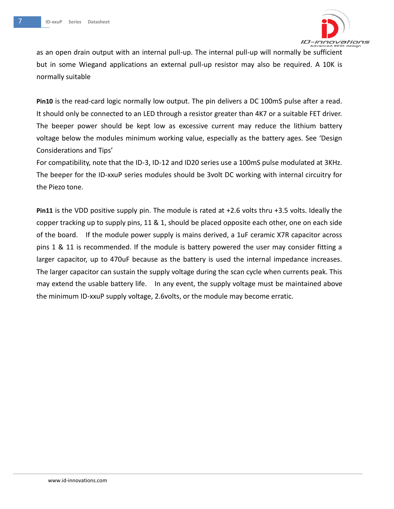

as an open drain output with an internal pull-up. The internal pull-up will normally be sufficient but in some Wiegand applications an external pull-up resistor may also be required. A 10K is normally suitable

**Pin10** is the read-card logic normally low output. The pin delivers a DC 100mS pulse after a read. It should only be connected to an LED through a resistor greater than 4K7 or a suitable FET driver. The beeper power should be kept low as excessive current may reduce the lithium battery voltage below the modules minimum working value, especially as the battery ages. See 'Design Considerations and Tips'

For compatibility, note that the ID-3, ID-12 and ID20 series use a 100mS pulse modulated at 3KHz. The beeper for the ID-xxuP series modules should be 3volt DC working with internal circuitry for the Piezo tone.

<span id="page-6-0"></span>**Pin11** is the VDD positive supply pin. The module is rated at +2.6 volts thru +3.5 volts. Ideally the copper tracking up to supply pins, 11 & 1, should be placed opposite each other, one on each side of the board. If the module power supply is mains derived, a 1uF ceramic X7R capacitor across pins 1 & 11 is recommended. If the module is battery powered the user may consider fitting a larger capacitor, up to 470uF because as the battery is used the internal impedance increases. The larger capacitor can sustain the supply voltage during the scan cycle when currents peak. This may extend the usable battery life. In any event, the supply voltage must be maintained above the minimum ID-xxuP supply voltage, 2.6volts, or the module may become erratic.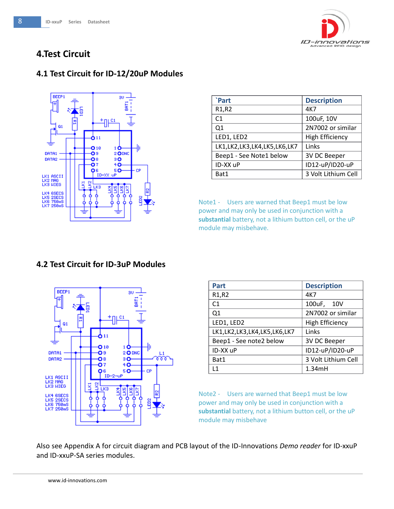

# **4.Test Circuit**

### <span id="page-7-0"></span>**4.1 Test Circuit for ID-12/20uP Modules**



| `Part                          | <b>Description</b>     |
|--------------------------------|------------------------|
| R <sub>1</sub> ,R <sub>2</sub> | 4K7                    |
| C1                             | 100uF, 10V             |
| Q1                             | 2N7002 or similar      |
| LED1, LED2                     | <b>High Efficiency</b> |
| LK1,LK2,LK3,LK4,LK5,LK6,LK7    | Links                  |
| Beep1 - See Note1 below        | 3V DC Beeper           |
| ID-XX uP                       | ID12-uP/ID20-uP        |
| Bat1                           | 3 Volt Lithium Cell    |

Note1 - Users are warned that Beep1 must be low power and may only be used in conjunction with a **substantial** battery, not a lithium button cell, or the uP module may misbehave.

### <span id="page-7-1"></span>**4.2 Test Circuit for ID-3uP Modules**



| Part                        | <b>Description</b>     |
|-----------------------------|------------------------|
| R1,R2                       | 4K7                    |
| C1                          | 100uF, 10V             |
| Q1                          | 2N7002 or similar      |
| LED1, LED2                  | <b>High Efficiency</b> |
| LK1,LK2,LK3,LK4,LK5,LK6,LK7 | Links                  |
| Beep1 - See note2 below     | 3V DC Beeper           |
| ID-XX uP                    | ID12-uP/ID20-uP        |
| Bat1                        | 3 Volt Lithium Cell    |
| L1                          | 1.34mH                 |

Note2 - Users are warned that Beep1 must be low power and may only be used in conjunction with a **substantial** battery, not a lithium button cell, or the uP module may misbehave

Also see Appendix A for circuit diagram and PCB layout of the ID-Innovations *Demo reader* for ID-xxuP and ID-xxuP-SA series modules.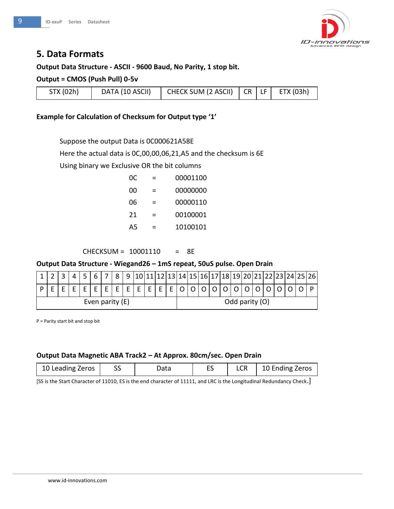

# <span id="page-8-0"></span>**5. Data Formats**

#### **Output Data Structure - ASCII - 9600 Baud, No Parity, 1 stop bit.**

#### **Output = CMOS (Push Pull) 0-5v**

| STX (02h) | DATA (10 ASCII) | CHECK SUM (2 ASCII) $ $ CR $ $ LF $ $ ETX (03h) |  |  |  |
|-----------|-----------------|-------------------------------------------------|--|--|--|
|-----------|-----------------|-------------------------------------------------|--|--|--|

#### **Example for Calculation of Checksum for Output type '1'**

Suppose the output Data is 0C000621A58E

Here the actual data is 0C,00,00,06,21,A5 and the checksum is 6E

Using binary we Exclusive OR the bit columns

| 0C. | 00001100 |
|-----|----------|
| იი  | 00000000 |
| 06  | 00000110 |
| 21  | 00100001 |
| А5  | 10100101 |

CHECKSUM = 10001110 = 8E

#### **Output Data Structure - Wiegand26 – 1mS repeat, 50uS pulse. Open Drain**

|                 |  |  |  |  |  |  | 8 | q |  |                |  |  |  |  |  | 10 11 12 13 14 15 16 17 18 19 20 21 22 23 24 25 26 |  |  |
|-----------------|--|--|--|--|--|--|---|---|--|----------------|--|--|--|--|--|----------------------------------------------------|--|--|
|                 |  |  |  |  |  |  |   |   |  |                |  |  |  |  |  |                                                    |  |  |
| Even parity (E) |  |  |  |  |  |  |   |   |  | Odd parity (O) |  |  |  |  |  |                                                    |  |  |

P = Parity start bit and stop bit

#### **Output Data Magnetic ABA Track2 – At Approx. 80cm/sec. Open Drain**

| 10 Leading Zeros | 55 | Data |  |  | 10 Ending Zeros |
|------------------|----|------|--|--|-----------------|
|------------------|----|------|--|--|-----------------|

<span id="page-8-1"></span>[SS is the Start Character of 11010, ES is the end character of 11111, and LRC is the Longitudinal Redundancy Check.]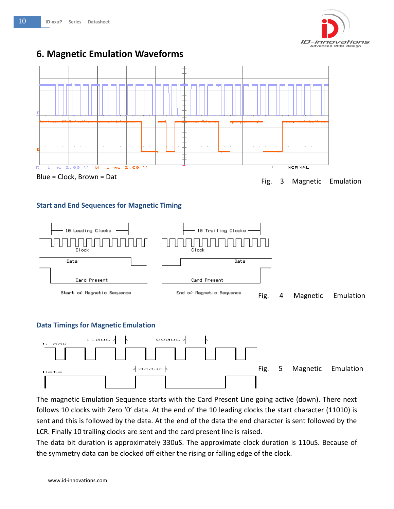

# **6. Magnetic Emulation Waveforms**



#### **Start and End Sequences for Magnetic Timing**



#### **Data Timings for Magnetic Emulation**



The magnetic Emulation Sequence starts with the Card Present Line going active (down). There next follows 10 clocks with Zero '0' data. At the end of the 10 leading clocks the start character (11010) is sent and this is followed by the data. At the end of the data the end character is sent followed by the LCR. Finally 10 trailing clocks are sent and the card present line is raised.

The data bit duration is approximately 330uS. The approximate clock duration is 110uS. Because of the symmetry data can be clocked off either the rising or falling edge of the clock.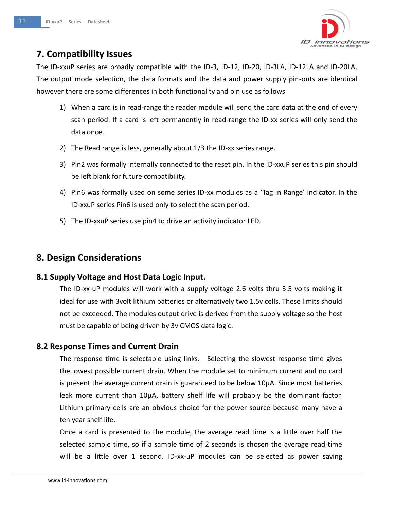

# <span id="page-10-0"></span>**7. Compatibility Issues**

The ID-xxuP series are broadly compatible with the ID-3, ID-12, ID-20, ID-3LA, ID-12LA and ID-20LA. The output mode selection, the data formats and the data and power supply pin-outs are identical however there are some differences in both functionality and pin use as follows

- 1) When a card is in read-range the reader module will send the card data at the end of every scan period. If a card is left permanently in read-range the ID-xx series will only send the data once.
- 2) The Read range is less, generally about 1/3 the ID-xx series range.
- 3) Pin2 was formally internally connected to the reset pin. In the ID-xxuP series this pin should be left blank for future compatibility.
- 4) Pin6 was formally used on some series ID-xx modules as a 'Tag in Range' indicator. In the ID-xxuP series Pin6 is used only to select the scan period.
- 5) The ID-xxuP series use pin4 to drive an activity indicator LED.

# <span id="page-10-1"></span>**8. Design Considerations**

### <span id="page-10-2"></span>**8.1 Supply Voltage and Host Data Logic Input.**

The ID-xx-uP modules will work with a supply voltage 2.6 volts thru 3.5 volts making it ideal for use with 3volt lithium batteries or alternatively two 1.5v cells. These limits should not be exceeded. The modules output drive is derived from the supply voltage so the host must be capable of being driven by 3v CMOS data logic.

### <span id="page-10-3"></span>**8.2 Response Times and Current Drain**

The response time is selectable using links. Selecting the slowest response time gives the lowest possible current drain. When the module set to minimum current and no card is present the average current drain is guaranteed to be below 10µA. Since most batteries leak more current than 10µA, battery shelf life will probably be the dominant factor. Lithium primary cells are an obvious choice for the power source because many have a ten year shelf life.

Once a card is presented to the module, the average read time is a little over half the selected sample time, so if a sample time of 2 seconds is chosen the average read time will be a little over 1 second. ID-xx-uP modules can be selected as power saving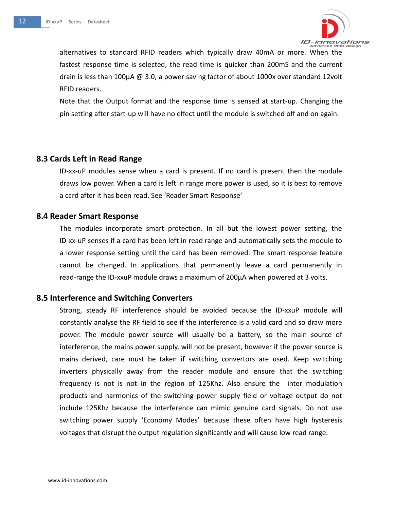

alternatives to standard RFID readers which typically draw 40mA or more. When the fastest response time is selected, the read time is quicker than 200mS and the current drain is less than 100µA @ 3.0, a power saving factor of about 1000x over standard 12volt RFID readers.

Note that the Output format and the response time is sensed at start-up. Changing the pin setting after start-up will have no effect until the module is switched off and on again.

#### <span id="page-11-0"></span>**8.3 Cards Left in Read Range**

ID-xx-uP modules sense when a card is present. If no card is present then the module draws low power. When a card is left in range more power is used, so it is best to remove a card after it has been read. See 'Reader Smart Response'

#### <span id="page-11-1"></span>**8.4 Reader Smart Response**

The modules incorporate smart protection. In all but the lowest power setting, the ID-xx-uP senses if a card has been left in read range and automatically sets the module to a lower response setting until the card has been removed. The smart response feature cannot be changed. In applications that permanently leave a card permanently in read-range the ID-xxuP module draws a maximum of 200µA when powered at 3 volts.

#### <span id="page-11-2"></span>**8.5 Interference and Switching Converters**

Strong, steady RF interference should be avoided because the ID-xxuP module will constantly analyse the RF field to see if the interference is a valid card and so draw more power. The module power source will usually be a battery, so the main source of interference, the mains power supply, will not be present, however if the power source is mains derived, care must be taken if switching convertors are used. Keep switching inverters physically away from the reader module and ensure that the switching frequency is not is not in the region of 125Khz. Also ensure the inter modulation products and harmonics of the switching power supply field or voltage output do not include 125Khz because the interference can mimic genuine card signals. Do not use switching power supply 'Economy Modes' because these often have high hysteresis voltages that disrupt the output regulation significantly and will cause low read range.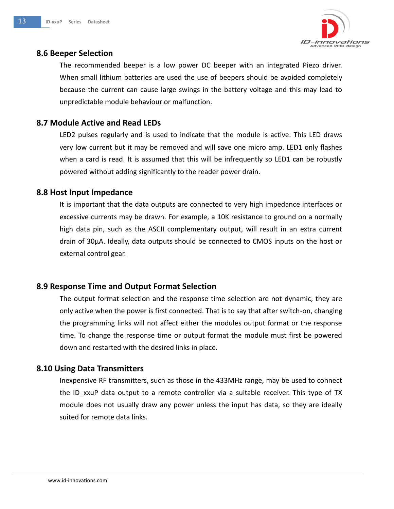

#### <span id="page-12-0"></span>**8.6 Beeper Selection**

The recommended beeper is a low power DC beeper with an integrated Piezo driver. When small lithium batteries are used the use of beepers should be avoided completely because the current can cause large swings in the battery voltage and this may lead to unpredictable module behaviour or malfunction.

### <span id="page-12-1"></span>**8.7 Module Active and Read LEDs**

LED2 pulses regularly and is used to indicate that the module is active. This LED draws very low current but it may be removed and will save one micro amp. LED1 only flashes when a card is read. It is assumed that this will be infrequently so LED1 can be robustly powered without adding significantly to the reader power drain.

### <span id="page-12-2"></span>**8.8 Host Input Impedance**

It is important that the data outputs are connected to very high impedance interfaces or excessive currents may be drawn. For example, a 10K resistance to ground on a normally high data pin, such as the ASCII complementary output, will result in an extra current drain of 30µA. Ideally, data outputs should be connected to CMOS inputs on the host or external control gear.

### <span id="page-12-3"></span>**8.9 Response Time and Output Format Selection**

The output format selection and the response time selection are not dynamic, they are only active when the power is first connected. That is to say that after switch-on, changing the programming links will not affect either the modules output format or the response time. To change the response time or output format the module must first be powered down and restarted with the desired links in place.

### <span id="page-12-4"></span>**8.10 Using Data Transmitters**

<span id="page-12-5"></span>Inexpensive RF transmitters, such as those in the 433MHz range, may be used to connect the ID xxuP data output to a remote controller via a suitable receiver. This type of TX module does not usually draw any power unless the input has data, so they are ideally suited for remote data links.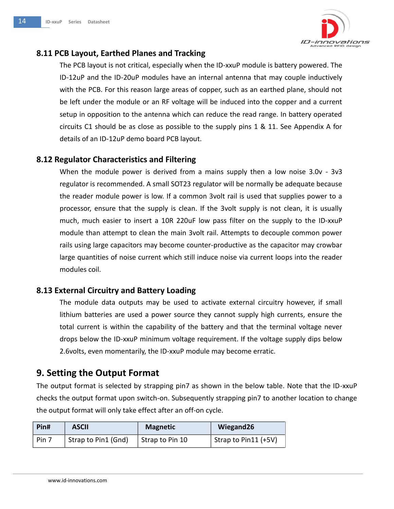

### **8.11 PCB Layout, Earthed Planes and Tracking**

The PCB layout is not critical, especially when the ID-xxuP module is battery powered. The ID-12uP and the ID-20uP modules have an internal antenna that may couple inductively with the PCB. For this reason large areas of copper, such as an earthed plane, should not be left under the module or an RF voltage will be induced into the copper and a current setup in opposition to the antenna which can reduce the read range. In battery operated circuits C1 should be as close as possible to the supply pins 1 & 11. See Appendix A for details of an ID-12uP demo board PCB layout.

### <span id="page-13-0"></span>**8.12 Regulator Characteristics and Filtering**

When the module power is derived from a mains supply then a low noise 3.0v - 3v3 regulator is recommended. A small SOT23 regulator will be normally be adequate because the reader module power is low. If a common 3volt rail is used that supplies power to a processor, ensure that the supply is clean. If the 3volt supply is not clean, it is usually much, much easier to insert a 10R 220uF low pass filter on the supply to the ID-xxuP module than attempt to clean the main 3volt rail. Attempts to decouple common power rails using large capacitors may become counter-productive as the capacitor may crowbar large quantities of noise current which still induce noise via current loops into the reader modules coil.

### <span id="page-13-1"></span>**8.13 External Circuitry and Battery Loading**

The module data outputs may be used to activate external circuitry however, if small lithium batteries are used a power source they cannot supply high currents, ensure the total current is within the capability of the battery and that the terminal voltage never drops below the ID-xxuP minimum voltage requirement. If the voltage supply dips below 2.6volts, even momentarily, the ID-xxuP module may become erratic.

# <span id="page-13-2"></span>**9. Setting the Output Format**

The output format is selected by strapping pin7 as shown in the below table. Note that the ID-xxuP checks the output format upon switch-on. Subsequently strapping pin7 to another location to change the output format will only take effect after an off-on cycle.

| Pin#  | <b>ASCII</b>        | <b>Magnetic</b> | Wiegand26            |
|-------|---------------------|-----------------|----------------------|
| Pin 7 | Strap to Pin1 (Gnd) | Strap to Pin 10 | Strap to Pin11 (+5V) |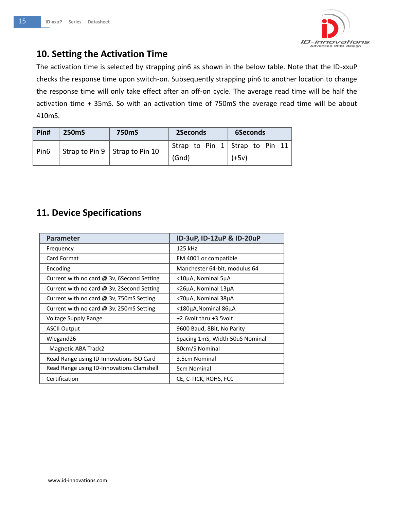

# <span id="page-14-0"></span>**10. Setting the Activation Time**

The activation time is selected by strapping pin6 as shown in the below table. Note that the ID-xxuP checks the response time upon switch-on. Subsequently strapping pin6 to another location to change the response time will only take effect after an off-on cycle. The average read time will be half the activation time + 35mS. So with an activation time of 750mS the average read time will be about 410mS.

| Pin#             | 250 <sub>m</sub> S | <b>750mS</b>                                               | 2Seconds | 6Seconds                         |  |  |  |
|------------------|--------------------|------------------------------------------------------------|----------|----------------------------------|--|--|--|
| Pin <sub>6</sub> |                    | $\frac{1}{4}$ Strap to Pin 9 $\frac{1}{4}$ Strap to Pin 10 |          | Strap to Pin $1$ Strap to Pin 11 |  |  |  |
|                  |                    |                                                            | (Gnd)    | $(+5v)$                          |  |  |  |

# <span id="page-14-1"></span>**11. Device Specifications**

<span id="page-14-2"></span>

| Parameter                                       | ID-3uP, ID-12uP & ID-20uP       |
|-------------------------------------------------|---------------------------------|
| Frequency                                       | 125 kHz                         |
| Card Format                                     | EM 4001 or compatible           |
| Encoding                                        | Manchester 64-bit, modulus 64   |
| Current with no card $@$ 3v, 6Second Setting    | $<$ 10µA, Nominal 5µA           |
| Current with no card $@$ 3v, 2Second Setting    | <26μA, Nominal 13μA             |
| Current with no card $\omega$ 3v, 750mS Setting | <70μA, Nominal 38μA             |
| Current with no card @ 3v, 250mS Setting        | <180μA, Nominal 86μA            |
| Voltage Supply Range                            | +2.6 volt thru +3.5 volt        |
| <b>ASCII Output</b>                             | 9600 Baud, 8Bit, No Parity      |
| Wiegand26                                       | Spacing 1mS, Width 50uS Nominal |
| Magnetic ABA Track2                             | 80cm/S Nominal                  |
| Read Range using ID-Innovations ISO Card        | 3.5cm Nominal                   |
| Read Range using ID-Innovations Clamshell       | 5cm Nominal                     |
| Certification                                   | CE, C-TICK, ROHS, FCC           |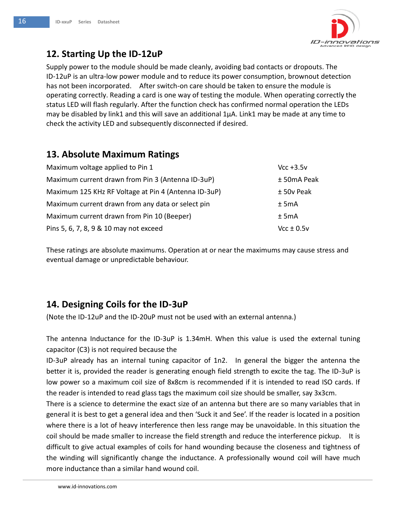

# **12. Starting Up the ID-12uP**

Supply power to the module should be made cleanly, avoiding bad contacts or dropouts. The ID-12uP is an ultra-low power module and to reduce its power consumption, brownout detection has not been incorporated. After switch-on care should be taken to ensure the module is operating correctly. Reading a card is one way of testing the module. When operating correctly the status LED will flash regularly. After the function check has confirmed normal operation the LEDs may be disabled by link1 and this will save an additional  $1\mu$ A. Link1 may be made at any time to check the activity LED and subsequently disconnected if desired.

# <span id="page-15-0"></span>**13. Absolute Maximum Ratings**

| Maximum voltage applied to Pin 1                     | $Vcc + 3.5v$   |
|------------------------------------------------------|----------------|
| Maximum current drawn from Pin 3 (Antenna ID-3uP)    | ± 50mA Peak    |
| Maximum 125 KHz RF Voltage at Pin 4 (Antenna ID-3uP) | $±$ 50v Peak   |
| Maximum current drawn from any data or select pin    | $±$ 5mA        |
| Maximum current drawn from Pin 10 (Beeper)           | $±$ 5mA        |
| Pins 5, 6, 7, 8, 9 & 10 may not exceed               | $Vcc \pm 0.5v$ |

These ratings are absolute maximums. Operation at or near the maximums may cause stress and eventual damage or unpredictable behaviour.

# <span id="page-15-1"></span>**14. Designing Coils for the ID-3uP**

(Note the ID-12uP and the ID-20uP must not be used with an external antenna.)

The antenna Inductance for the ID-3uP is 1.34mH. When this value is used the external tuning capacitor (C3) is not required because the

ID-3uP already has an internal tuning capacitor of 1n2. In general the bigger the antenna the better it is, provided the reader is generating enough field strength to excite the tag. The ID-3uP is low power so a maximum coil size of 8x8cm is recommended if it is intended to read ISO cards. If the reader is intended to read glass tags the maximum coil size should be smaller, say 3x3cm.

There is a science to determine the exact size of an antenna but there are so many variables that in general it is best to get a general idea and then 'Suck it and See'. If the reader is located in a position where there is a lot of heavy interference then less range may be unavoidable. In this situation the coil should be made smaller to increase the field strength and reduce the interference pickup. It is difficult to give actual examples of coils for hand wounding because the closeness and tightness of the winding will significantly change the inductance. A professionally wound coil will have much more inductance than a similar hand wound coil.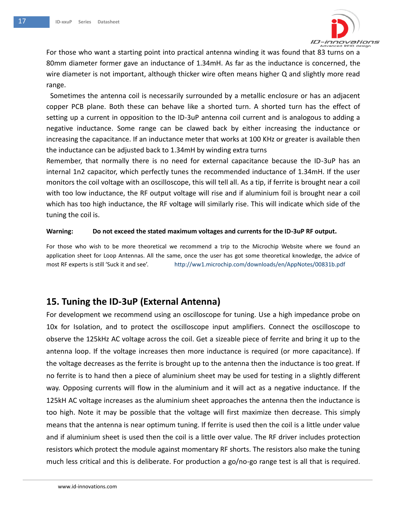

For those who want a starting point into practical antenna winding it was found that 83 turns on a 80mm diameter former gave an inductance of 1.34mH. As far as the inductance is concerned, the wire diameter is not important, although thicker wire often means higher Q and slightly more read range.

Sometimes the antenna coil is necessarily surrounded by a metallic enclosure or has an adjacent copper PCB plane. Both these can behave like a shorted turn. A shorted turn has the effect of setting up a current in opposition to the ID-3uP antenna coil current and is analogous to adding a negative inductance. Some range can be clawed back by either increasing the inductance or increasing the capacitance. If an inductance meter that works at 100 KHz or greater is available then the inductance can be adjusted back to 1.34mH by winding extra turns

Remember, that normally there is no need for external capacitance because the ID-3uP has an internal 1n2 capacitor, which perfectly tunes the recommended inductance of 1.34mH. If the user monitors the coil voltage with an oscilloscope, this will tell all. As a tip, if ferrite is brought near a coil with too low inductance, the RF output voltage will rise and if aluminium foil is brought near a coil which has too high inductance, the RF voltage will similarly rise. This will indicate which side of the tuning the coil is.

#### **Warning: Do not exceed the stated maximum voltages and currents for the ID-3uP RF output.**

For those who wish to be more theoretical we recommend a trip to the Microchip Website where we found an application sheet for Loop Antennas. All the same, once the user has got some theoretical knowledge, the advice of most RF experts is still 'Suck it and see'. <http://ww1.microchip.com/downloads/en/AppNotes/00831b.pdf>

# <span id="page-16-0"></span>**15. Tuning the ID-3uP (External Antenna)**

For development we recommend using an oscilloscope for tuning. Use a high impedance probe on 10x for Isolation, and to protect the oscilloscope input amplifiers. Connect the oscilloscope to observe the 125kHz AC voltage across the coil. Get a sizeable piece of ferrite and bring it up to the antenna loop. If the voltage increases then more inductance is required (or more capacitance). If the voltage decreases as the ferrite is brought up to the antenna then the inductance is too great. If no ferrite is to hand then a piece of aluminium sheet may be used for testing in a slightly different way. Opposing currents will flow in the aluminium and it will act as a negative inductance. If the 125kH AC voltage increases as the aluminium sheet approaches the antenna then the inductance is too high. Note it may be possible that the voltage will first maximize then decrease. This simply means that the antenna is near optimum tuning. If ferrite is used then the coil is a little under value and if aluminium sheet is used then the coil is a little over value. The RF driver includes protection resistors which protect the module against momentary RF shorts. The resistors also make the tuning much less critical and this is deliberate. For production a go/no-go range test is all that is required.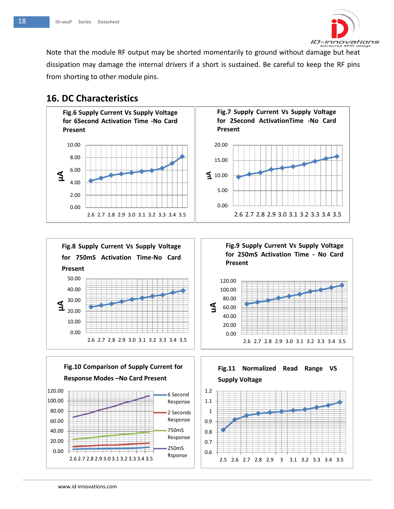

Note that the module RF output may be shorted momentarily to ground without damage but heat dissipation may damage the internal drivers if a short is sustained. Be careful to keep the RF pins from shorting to other module pins.

# <span id="page-17-0"></span>**16. DC Characteristics**



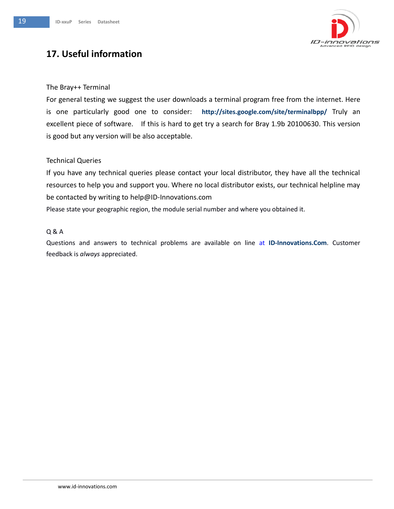

# <span id="page-18-0"></span>**17. Useful information**

#### The Bray++ Terminal

For general testing we suggest the user downloads a terminal program free from the internet. Here is one particularly good one to consider: **http://sites.google.com/site/terminalbpp/** Truly an excellent piece of software. If this is hard to get try a search for Bray 1.9b 20100630. This version is good but any version will be also acceptable.

#### Technical Queries

If you have any technical queries please contact your local distributor, they have all the technical resources to help you and support you. Where no local distributor exists, our technical helpline may be contacted by writing to [help@ID-Innovations.com](mailto:help@ID-Innovations.com)

Please state your geographic region, the module serial number and where you obtained it.

#### Q & A

<span id="page-18-1"></span>Questions and answers to technical problems are available on line at **ID-Innovations.Com**. Customer feedback is *always* appreciated.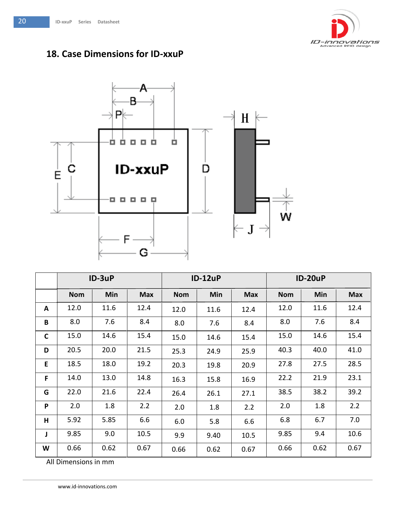

# **18. Case Dimensions for ID-xxuP**



|              | $ID-3uP$   |      |            | <b>ID-12uP</b> |      |            | <b>ID-20uP</b> |      |            |
|--------------|------------|------|------------|----------------|------|------------|----------------|------|------------|
|              | <b>Nom</b> | Min  | <b>Max</b> | <b>Nom</b>     | Min  | <b>Max</b> | <b>Nom</b>     | Min  | <b>Max</b> |
| A            | 12.0       | 11.6 | 12.4       | 12.0           | 11.6 | 12.4       | 12.0           | 11.6 | 12.4       |
| B            | 8.0        | 7.6  | 8.4        | 8.0            | 7.6  | 8.4        | 8.0            | 7.6  | 8.4        |
| $\mathsf{C}$ | 15.0       | 14.6 | 15.4       | 15.0           | 14.6 | 15.4       | 15.0           | 14.6 | 15.4       |
| D            | 20.5       | 20.0 | 21.5       | 25.3           | 24.9 | 25.9       | 40.3           | 40.0 | 41.0       |
| E            | 18.5       | 18.0 | 19.2       | 20.3           | 19.8 | 20.9       | 27.8           | 27.5 | 28.5       |
| F            | 14.0       | 13.0 | 14.8       | 16.3           | 15.8 | 16.9       | 22.2           | 21.9 | 23.1       |
| G            | 22.0       | 21.6 | 22.4       | 26.4           | 26.1 | 27.1       | 38.5           | 38.2 | 39.2       |
| P            | 2.0        | 1.8  | 2.2        | 2.0            | 1.8  | 2.2        | 2.0            | 1.8  | 2.2        |
| H            | 5.92       | 5.85 | 6.6        | 6.0            | 5.8  | 6.6        | 6.8            | 6.7  | 7.0        |
| J            | 9.85       | 9.0  | 10.5       | 9.9            | 9.40 | 10.5       | 9.85           | 9.4  | 10.6       |
| W            | 0.66       | 0.62 | 0.67       | 0.66           | 0.62 | 0.67       | 0.66           | 0.62 | 0.67       |

All Dimensions in mm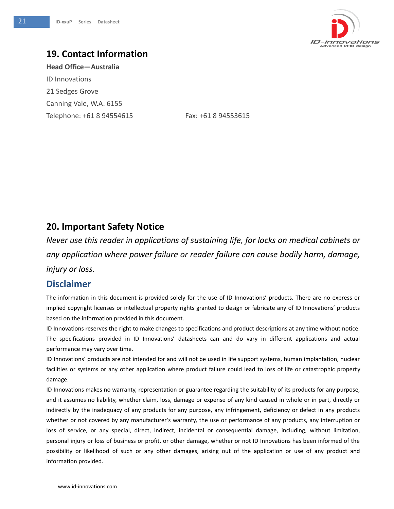

# <span id="page-20-0"></span>**19. Contact Information**

<span id="page-20-1"></span>**Head Office—Australia** ID Innovations 21 Sedges Grove Canning Vale, W.A. 6155 Telephone: +61 8 94554615 Fax: +61 8 94553615

# **20. Important Safety Notice**

*Never use this reader in applications of sustaining life, for locks on medical cabinets or any application where power failure or reader failure can cause bodily harm, damage, injury or loss.*

### <span id="page-20-2"></span>**Disclaimer**

The information in this document is provided solely for the use of ID Innovations' products. There are no express or implied copyright licenses or intellectual property rights granted to design or fabricate any of ID Innovations' products based on the information provided in this document.

ID Innovations reserves the right to make changes to specifications and product descriptions at any time without notice. The specifications provided in ID Innovations' datasheets can and do vary in different applications and actual performance may vary over time.

ID Innovations' products are not intended for and will not be used in life support systems, human implantation, nuclear facilities or systems or any other application where product failure could lead to loss of life or catastrophic property damage.

ID Innovations makes no warranty, representation or guarantee regarding the suitability of its products for any purpose, and it assumes no liability, whether claim, loss, damage or expense of any kind caused in whole or in part, directly or indirectly by the inadequacy of any products for any purpose, any infringement, deficiency or defect in any products whether or not covered by any manufacturer's warranty, the use or performance of any products, any interruption or loss of service, or any special, direct, indirect, incidental or consequential damage, including, without limitation, personal injury or loss of business or profit, or other damage, whether or not ID Innovations has been informed of the possibility or likelihood of such or any other damages, arising out of the application or use of any product and information provided.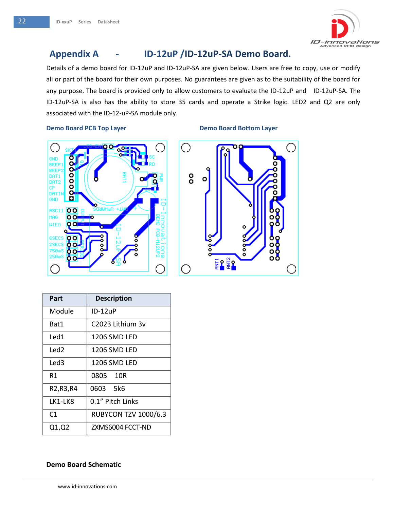

# **Appendix A - ID-12uP /ID-12uP-SA Demo Board.**

Details of a demo board for ID-12uP and ID-12uP-SA are given below. Users are free to copy, use or modify all or part of the board for their own purposes. No guarantees are given as to the suitability of the board for any purpose. The board is provided only to allow customers to evaluate the ID-12uP and ID-12uP-SA. The ID-12uP-SA is also has the ability to store 35 cards and operate a Strike logic. LED2 and Q2 are only associated with the ID-12-uP-SA module only.

#### **Demo Board PCB Top Layer**



|  | <b>Demo Board Bottom Layer</b> |  |
|--|--------------------------------|--|



| Part             | <b>Description</b>          |
|------------------|-----------------------------|
| Module           | ID-12uP                     |
| Bat1             | C2023 Lithium 3v            |
| Led1             | 1206 SMD LFD                |
| Led <sub>2</sub> | 1206 SMD LED                |
| Led3             | 1206 SMD LED                |
| R1               | 0805 10R                    |
| R2, R3, R4       | 0603 5k6                    |
| LK1-LK8          | 0.1" Pitch Links            |
| C1               | <b>RUBYCON TZV 1000/6.3</b> |
| Q1,Q2            | ZXMS6004 FCCT-ND            |

#### **Demo Board Schematic**